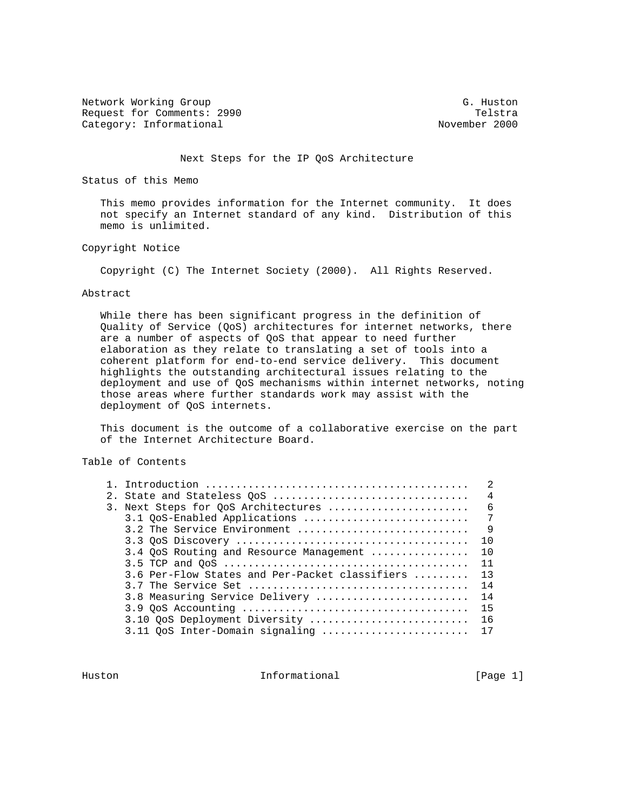Network Working Group G. Huston G. Huston Request for Comments: 2990 Telstra Category: Informational

Next Steps for the IP QoS Architecture

Status of this Memo

 This memo provides information for the Internet community. It does not specify an Internet standard of any kind. Distribution of this memo is unlimited.

Copyright Notice

Copyright (C) The Internet Society (2000). All Rights Reserved.

#### Abstract

 While there has been significant progress in the definition of Quality of Service (QoS) architectures for internet networks, there are a number of aspects of QoS that appear to need further elaboration as they relate to translating a set of tools into a coherent platform for end-to-end service delivery. This document highlights the outstanding architectural issues relating to the deployment and use of QoS mechanisms within internet networks, noting those areas where further standards work may assist with the deployment of QoS internets.

 This document is the outcome of a collaborative exercise on the part of the Internet Architecture Board.

Table of Contents

|  |                                                | $\mathfrak{D}$ |
|--|------------------------------------------------|----------------|
|  | 2. State and Stateless QoS                     | $\overline{4}$ |
|  | 3. Next Steps for QoS Architectures            | <u>б</u>       |
|  | 3.1 OoS-Enabled Applications                   | 7              |
|  | 3.2 The Service Environment                    | $\mathsf{Q}$   |
|  |                                                | 1 O            |
|  | 3.4 QoS Routing and Resource Management        | 1 O            |
|  |                                                | 11             |
|  | 3.6 Per-Flow States and Per-Packet classifiers | 13             |
|  |                                                | 14             |
|  | 3.8 Measuring Service Delivery                 | 14             |
|  |                                                | 15             |
|  | 3.10 OoS Deployment Diversity                  | 16             |
|  | 3.11 OoS Inter-Domain signaling                | 17             |
|  |                                                |                |

Huston **Informational Informational** [Page 1]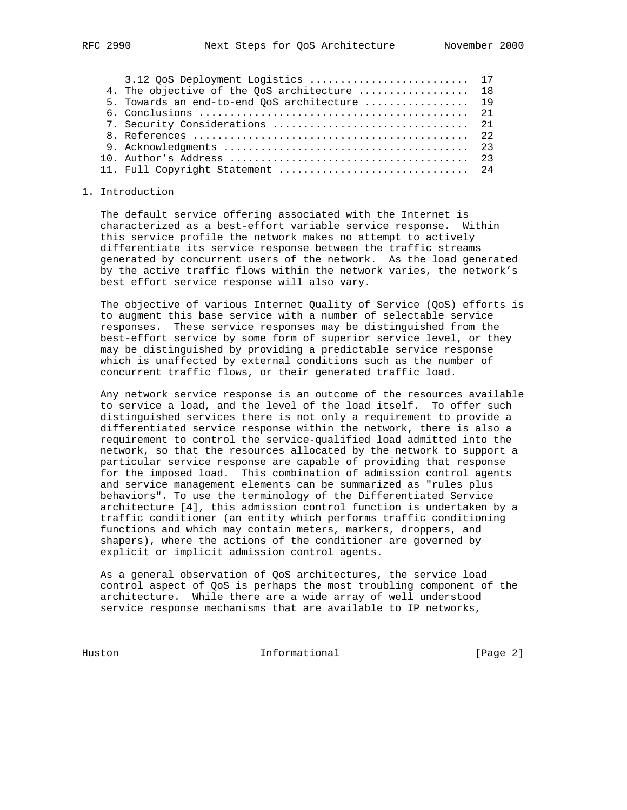| 3.12 QoS Deployment Logistics  17             |  |
|-----------------------------------------------|--|
| 4. The objective of the QoS architecture  18  |  |
| 5. Towards an end-to-end OoS architecture  19 |  |
|                                               |  |
|                                               |  |
|                                               |  |
|                                               |  |
|                                               |  |
| 11. Full Copyright Statement  24              |  |

# 1. Introduction

 The default service offering associated with the Internet is characterized as a best-effort variable service response. Within this service profile the network makes no attempt to actively differentiate its service response between the traffic streams generated by concurrent users of the network. As the load generated by the active traffic flows within the network varies, the network's best effort service response will also vary.

 The objective of various Internet Quality of Service (QoS) efforts is to augment this base service with a number of selectable service responses. These service responses may be distinguished from the best-effort service by some form of superior service level, or they may be distinguished by providing a predictable service response which is unaffected by external conditions such as the number of concurrent traffic flows, or their generated traffic load.

 Any network service response is an outcome of the resources available to service a load, and the level of the load itself. To offer such distinguished services there is not only a requirement to provide a differentiated service response within the network, there is also a requirement to control the service-qualified load admitted into the network, so that the resources allocated by the network to support a particular service response are capable of providing that response for the imposed load. This combination of admission control agents and service management elements can be summarized as "rules plus behaviors". To use the terminology of the Differentiated Service architecture [4], this admission control function is undertaken by a traffic conditioner (an entity which performs traffic conditioning functions and which may contain meters, markers, droppers, and shapers), where the actions of the conditioner are governed by explicit or implicit admission control agents.

 As a general observation of QoS architectures, the service load control aspect of QoS is perhaps the most troubling component of the architecture. While there are a wide array of well understood service response mechanisms that are available to IP networks,

Huston **Informational Informational** [Page 2]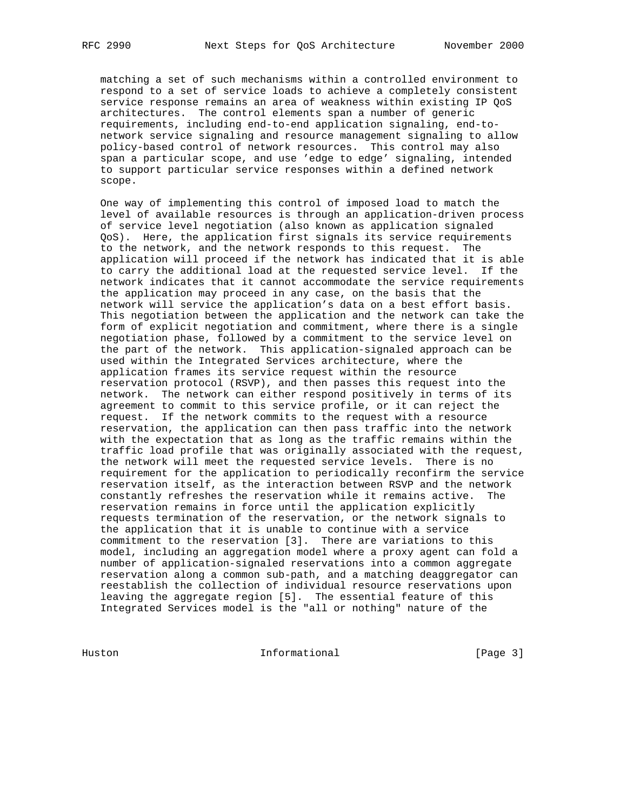matching a set of such mechanisms within a controlled environment to respond to a set of service loads to achieve a completely consistent service response remains an area of weakness within existing IP QoS architectures. The control elements span a number of generic requirements, including end-to-end application signaling, end-to network service signaling and resource management signaling to allow policy-based control of network resources. This control may also span a particular scope, and use 'edge to edge' signaling, intended to support particular service responses within a defined network scope.

 One way of implementing this control of imposed load to match the level of available resources is through an application-driven process of service level negotiation (also known as application signaled QoS). Here, the application first signals its service requirements to the network, and the network responds to this request. The application will proceed if the network has indicated that it is able to carry the additional load at the requested service level. If the network indicates that it cannot accommodate the service requirements the application may proceed in any case, on the basis that the network will service the application's data on a best effort basis. This negotiation between the application and the network can take the form of explicit negotiation and commitment, where there is a single negotiation phase, followed by a commitment to the service level on the part of the network. This application-signaled approach can be used within the Integrated Services architecture, where the application frames its service request within the resource reservation protocol (RSVP), and then passes this request into the network. The network can either respond positively in terms of its agreement to commit to this service profile, or it can reject the request. If the network commits to the request with a resource reservation, the application can then pass traffic into the network with the expectation that as long as the traffic remains within the traffic load profile that was originally associated with the request, the network will meet the requested service levels. There is no requirement for the application to periodically reconfirm the service reservation itself, as the interaction between RSVP and the network constantly refreshes the reservation while it remains active. The reservation remains in force until the application explicitly requests termination of the reservation, or the network signals to the application that it is unable to continue with a service commitment to the reservation [3]. There are variations to this model, including an aggregation model where a proxy agent can fold a number of application-signaled reservations into a common aggregate reservation along a common sub-path, and a matching deaggregator can reestablish the collection of individual resource reservations upon leaving the aggregate region [5]. The essential feature of this Integrated Services model is the "all or nothing" nature of the

Huston Informational [Page 3]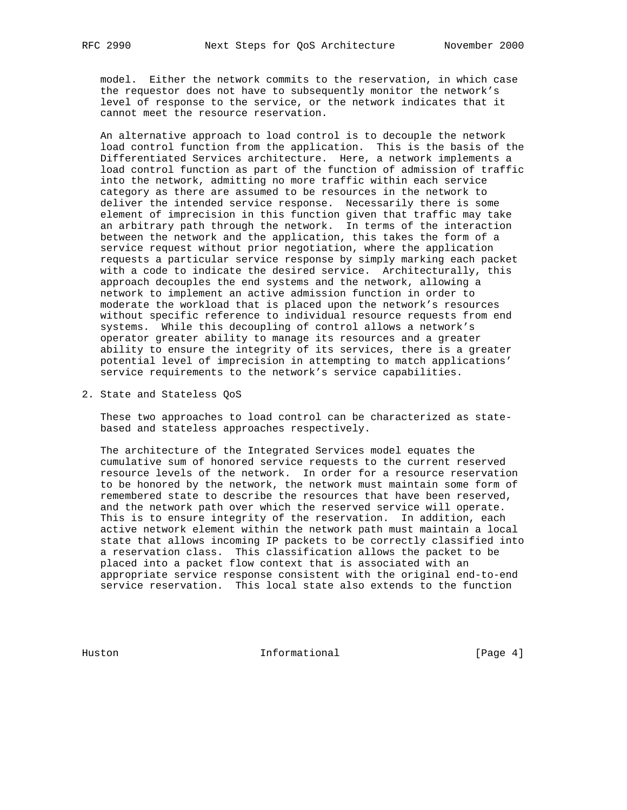model. Either the network commits to the reservation, in which case the requestor does not have to subsequently monitor the network's level of response to the service, or the network indicates that it cannot meet the resource reservation.

 An alternative approach to load control is to decouple the network load control function from the application. This is the basis of the Differentiated Services architecture. Here, a network implements a load control function as part of the function of admission of traffic into the network, admitting no more traffic within each service category as there are assumed to be resources in the network to deliver the intended service response. Necessarily there is some element of imprecision in this function given that traffic may take an arbitrary path through the network. In terms of the interaction between the network and the application, this takes the form of a service request without prior negotiation, where the application requests a particular service response by simply marking each packet with a code to indicate the desired service. Architecturally, this approach decouples the end systems and the network, allowing a network to implement an active admission function in order to moderate the workload that is placed upon the network's resources without specific reference to individual resource requests from end systems. While this decoupling of control allows a network's operator greater ability to manage its resources and a greater ability to ensure the integrity of its services, there is a greater potential level of imprecision in attempting to match applications' service requirements to the network's service capabilities.

2. State and Stateless QoS

 These two approaches to load control can be characterized as state based and stateless approaches respectively.

 The architecture of the Integrated Services model equates the cumulative sum of honored service requests to the current reserved resource levels of the network. In order for a resource reservation to be honored by the network, the network must maintain some form of remembered state to describe the resources that have been reserved, and the network path over which the reserved service will operate. This is to ensure integrity of the reservation. In addition, each active network element within the network path must maintain a local state that allows incoming IP packets to be correctly classified into a reservation class. This classification allows the packet to be placed into a packet flow context that is associated with an appropriate service response consistent with the original end-to-end service reservation. This local state also extends to the function

Huston **Informational Informational** [Page 4]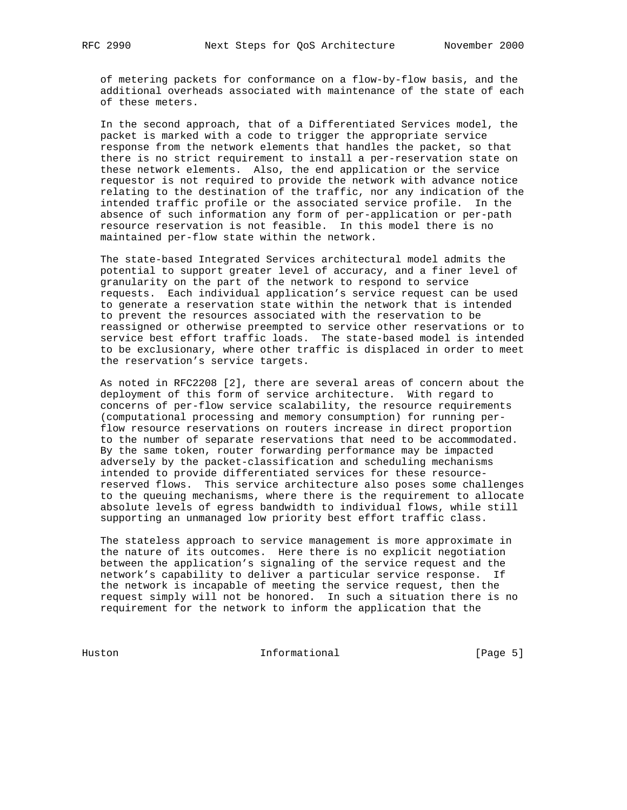of metering packets for conformance on a flow-by-flow basis, and the additional overheads associated with maintenance of the state of each of these meters.

 In the second approach, that of a Differentiated Services model, the packet is marked with a code to trigger the appropriate service response from the network elements that handles the packet, so that there is no strict requirement to install a per-reservation state on these network elements. Also, the end application or the service requestor is not required to provide the network with advance notice relating to the destination of the traffic, nor any indication of the intended traffic profile or the associated service profile. In the absence of such information any form of per-application or per-path resource reservation is not feasible. In this model there is no maintained per-flow state within the network.

 The state-based Integrated Services architectural model admits the potential to support greater level of accuracy, and a finer level of granularity on the part of the network to respond to service requests. Each individual application's service request can be used to generate a reservation state within the network that is intended to prevent the resources associated with the reservation to be reassigned or otherwise preempted to service other reservations or to service best effort traffic loads. The state-based model is intended to be exclusionary, where other traffic is displaced in order to meet the reservation's service targets.

 As noted in RFC2208 [2], there are several areas of concern about the deployment of this form of service architecture. With regard to concerns of per-flow service scalability, the resource requirements (computational processing and memory consumption) for running per flow resource reservations on routers increase in direct proportion to the number of separate reservations that need to be accommodated. By the same token, router forwarding performance may be impacted adversely by the packet-classification and scheduling mechanisms intended to provide differentiated services for these resource reserved flows. This service architecture also poses some challenges to the queuing mechanisms, where there is the requirement to allocate absolute levels of egress bandwidth to individual flows, while still supporting an unmanaged low priority best effort traffic class.

 The stateless approach to service management is more approximate in the nature of its outcomes. Here there is no explicit negotiation between the application's signaling of the service request and the network's capability to deliver a particular service response. If the network is incapable of meeting the service request, then the request simply will not be honored. In such a situation there is no requirement for the network to inform the application that the

Huston **Informational Informational** [Page 5]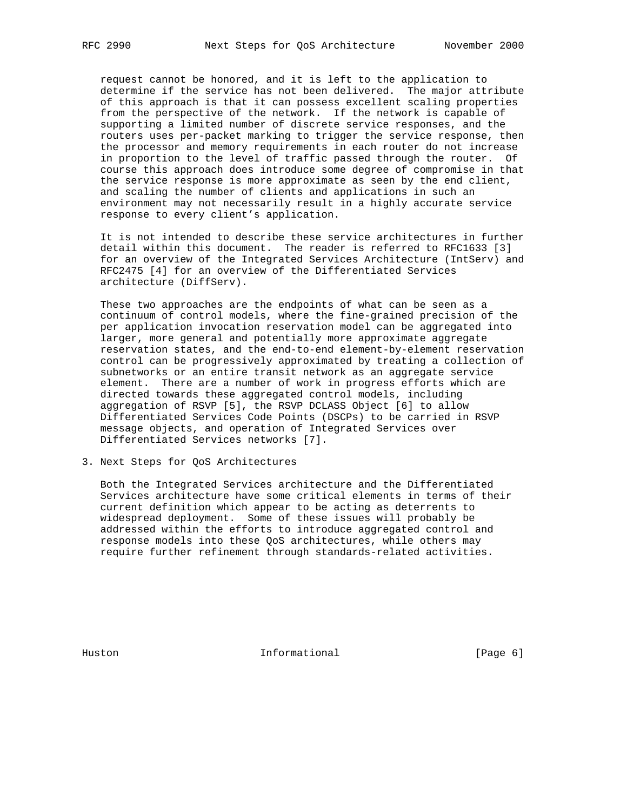request cannot be honored, and it is left to the application to determine if the service has not been delivered. The major attribute of this approach is that it can possess excellent scaling properties from the perspective of the network. If the network is capable of supporting a limited number of discrete service responses, and the routers uses per-packet marking to trigger the service response, then the processor and memory requirements in each router do not increase in proportion to the level of traffic passed through the router. Of course this approach does introduce some degree of compromise in that the service response is more approximate as seen by the end client, and scaling the number of clients and applications in such an environment may not necessarily result in a highly accurate service response to every client's application.

 It is not intended to describe these service architectures in further detail within this document. The reader is referred to RFC1633 [3] for an overview of the Integrated Services Architecture (IntServ) and RFC2475 [4] for an overview of the Differentiated Services architecture (DiffServ).

 These two approaches are the endpoints of what can be seen as a continuum of control models, where the fine-grained precision of the per application invocation reservation model can be aggregated into larger, more general and potentially more approximate aggregate reservation states, and the end-to-end element-by-element reservation control can be progressively approximated by treating a collection of subnetworks or an entire transit network as an aggregate service element. There are a number of work in progress efforts which are directed towards these aggregated control models, including aggregation of RSVP [5], the RSVP DCLASS Object [6] to allow Differentiated Services Code Points (DSCPs) to be carried in RSVP message objects, and operation of Integrated Services over Differentiated Services networks [7].

3. Next Steps for QoS Architectures

 Both the Integrated Services architecture and the Differentiated Services architecture have some critical elements in terms of their current definition which appear to be acting as deterrents to widespread deployment. Some of these issues will probably be addressed within the efforts to introduce aggregated control and response models into these QoS architectures, while others may require further refinement through standards-related activities.

Huston **Informational Informational** [Page 6]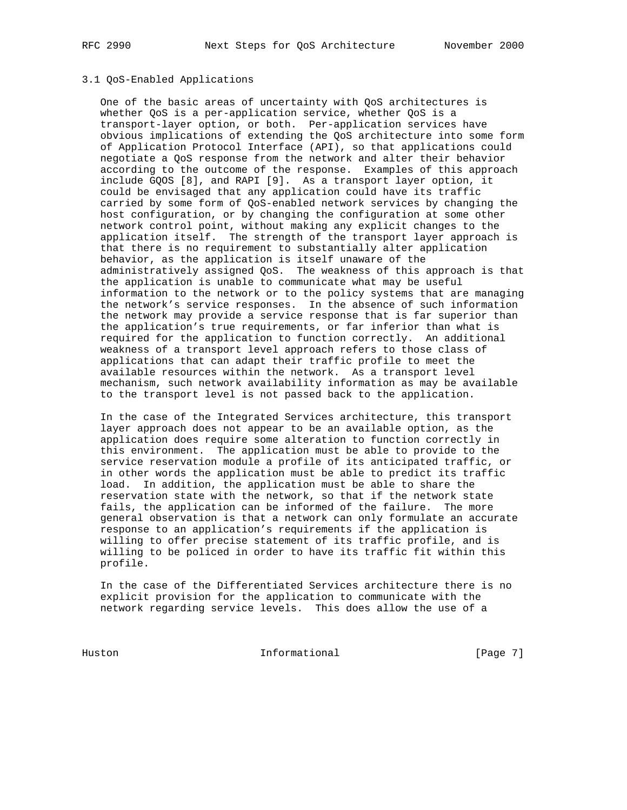#### 3.1 QoS-Enabled Applications

 One of the basic areas of uncertainty with QoS architectures is whether QoS is a per-application service, whether QoS is a transport-layer option, or both. Per-application services have obvious implications of extending the QoS architecture into some form of Application Protocol Interface (API), so that applications could negotiate a QoS response from the network and alter their behavior according to the outcome of the response. Examples of this approach include GQOS [8], and RAPI [9]. As a transport layer option, it could be envisaged that any application could have its traffic carried by some form of QoS-enabled network services by changing the host configuration, or by changing the configuration at some other network control point, without making any explicit changes to the application itself. The strength of the transport layer approach is that there is no requirement to substantially alter application behavior, as the application is itself unaware of the administratively assigned QoS. The weakness of this approach is that the application is unable to communicate what may be useful information to the network or to the policy systems that are managing the network's service responses. In the absence of such information the network may provide a service response that is far superior than the application's true requirements, or far inferior than what is required for the application to function correctly. An additional weakness of a transport level approach refers to those class of applications that can adapt their traffic profile to meet the available resources within the network. As a transport level mechanism, such network availability information as may be available to the transport level is not passed back to the application.

 In the case of the Integrated Services architecture, this transport layer approach does not appear to be an available option, as the application does require some alteration to function correctly in this environment. The application must be able to provide to the service reservation module a profile of its anticipated traffic, or in other words the application must be able to predict its traffic load. In addition, the application must be able to share the reservation state with the network, so that if the network state fails, the application can be informed of the failure. The more general observation is that a network can only formulate an accurate response to an application's requirements if the application is willing to offer precise statement of its traffic profile, and is willing to be policed in order to have its traffic fit within this profile.

 In the case of the Differentiated Services architecture there is no explicit provision for the application to communicate with the network regarding service levels. This does allow the use of a

Huston Informational [Page 7]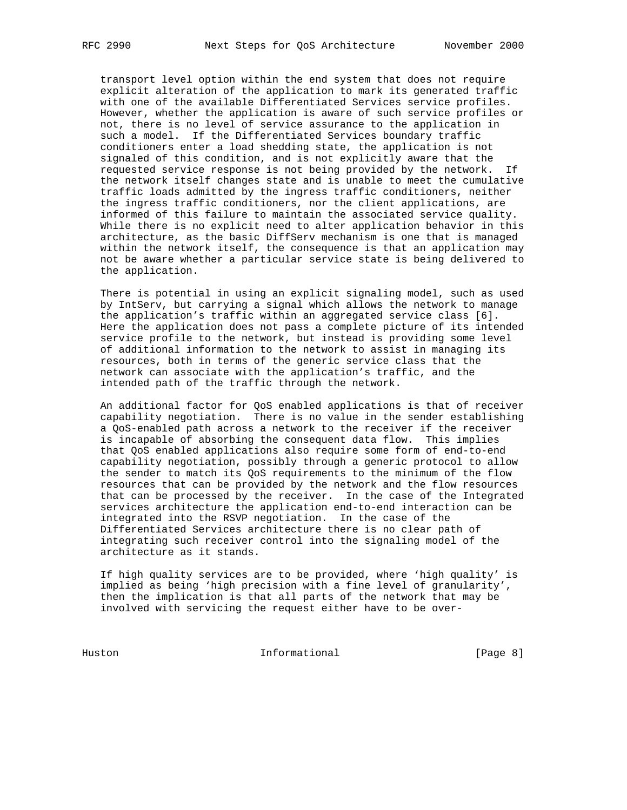transport level option within the end system that does not require explicit alteration of the application to mark its generated traffic with one of the available Differentiated Services service profiles. However, whether the application is aware of such service profiles or not, there is no level of service assurance to the application in such a model. If the Differentiated Services boundary traffic conditioners enter a load shedding state, the application is not signaled of this condition, and is not explicitly aware that the requested service response is not being provided by the network. If the network itself changes state and is unable to meet the cumulative traffic loads admitted by the ingress traffic conditioners, neither the ingress traffic conditioners, nor the client applications, are informed of this failure to maintain the associated service quality. While there is no explicit need to alter application behavior in this architecture, as the basic DiffServ mechanism is one that is managed within the network itself, the consequence is that an application may not be aware whether a particular service state is being delivered to the application.

 There is potential in using an explicit signaling model, such as used by IntServ, but carrying a signal which allows the network to manage the application's traffic within an aggregated service class [6]. Here the application does not pass a complete picture of its intended service profile to the network, but instead is providing some level of additional information to the network to assist in managing its resources, both in terms of the generic service class that the network can associate with the application's traffic, and the intended path of the traffic through the network.

 An additional factor for QoS enabled applications is that of receiver capability negotiation. There is no value in the sender establishing a QoS-enabled path across a network to the receiver if the receiver is incapable of absorbing the consequent data flow. This implies that QoS enabled applications also require some form of end-to-end capability negotiation, possibly through a generic protocol to allow the sender to match its QoS requirements to the minimum of the flow resources that can be provided by the network and the flow resources that can be processed by the receiver. In the case of the Integrated services architecture the application end-to-end interaction can be integrated into the RSVP negotiation. In the case of the Differentiated Services architecture there is no clear path of integrating such receiver control into the signaling model of the architecture as it stands.

 If high quality services are to be provided, where 'high quality' is implied as being 'high precision with a fine level of granularity', then the implication is that all parts of the network that may be involved with servicing the request either have to be over-

Huston Informational [Page 8]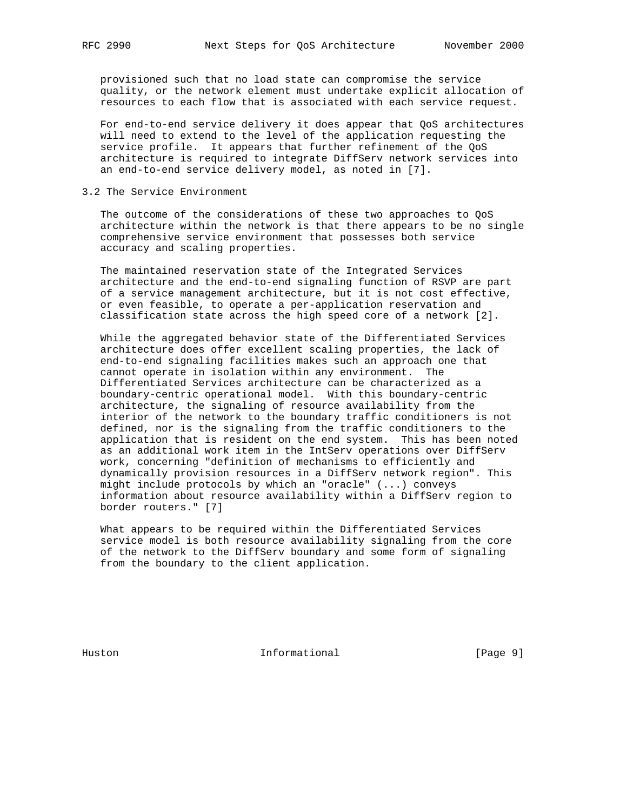provisioned such that no load state can compromise the service quality, or the network element must undertake explicit allocation of resources to each flow that is associated with each service request.

 For end-to-end service delivery it does appear that QoS architectures will need to extend to the level of the application requesting the service profile. It appears that further refinement of the QoS architecture is required to integrate DiffServ network services into an end-to-end service delivery model, as noted in [7].

## 3.2 The Service Environment

 The outcome of the considerations of these two approaches to QoS architecture within the network is that there appears to be no single comprehensive service environment that possesses both service accuracy and scaling properties.

 The maintained reservation state of the Integrated Services architecture and the end-to-end signaling function of RSVP are part of a service management architecture, but it is not cost effective, or even feasible, to operate a per-application reservation and classification state across the high speed core of a network [2].

 While the aggregated behavior state of the Differentiated Services architecture does offer excellent scaling properties, the lack of end-to-end signaling facilities makes such an approach one that cannot operate in isolation within any environment. The Differentiated Services architecture can be characterized as a boundary-centric operational model. With this boundary-centric architecture, the signaling of resource availability from the interior of the network to the boundary traffic conditioners is not defined, nor is the signaling from the traffic conditioners to the application that is resident on the end system. This has been noted as an additional work item in the IntServ operations over DiffServ work, concerning "definition of mechanisms to efficiently and dynamically provision resources in a DiffServ network region". This might include protocols by which an "oracle" (...) conveys information about resource availability within a DiffServ region to border routers." [7]

 What appears to be required within the Differentiated Services service model is both resource availability signaling from the core of the network to the DiffServ boundary and some form of signaling from the boundary to the client application.

Huston **Informational Informational** [Page 9]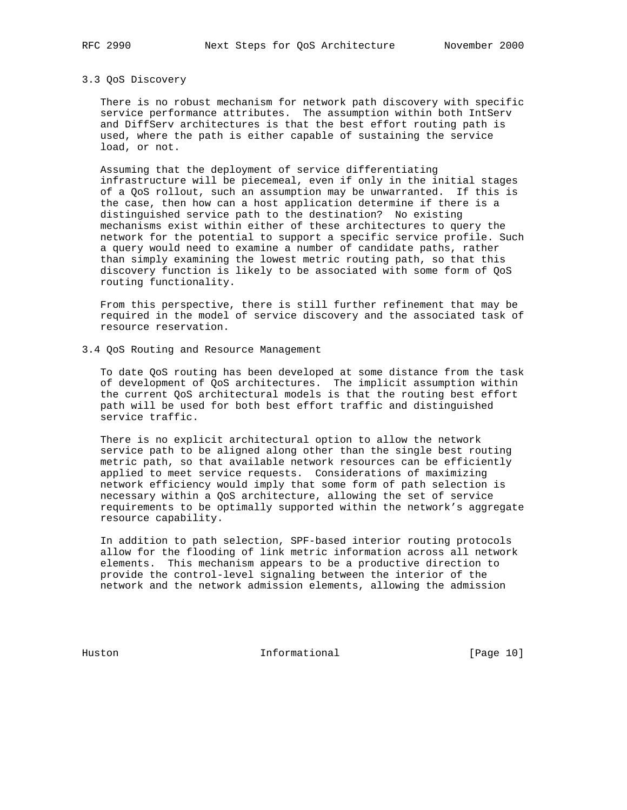#### 3.3 QoS Discovery

 There is no robust mechanism for network path discovery with specific service performance attributes. The assumption within both IntServ and DiffServ architectures is that the best effort routing path is used, where the path is either capable of sustaining the service load, or not.

 Assuming that the deployment of service differentiating infrastructure will be piecemeal, even if only in the initial stages of a QoS rollout, such an assumption may be unwarranted. If this is the case, then how can a host application determine if there is a distinguished service path to the destination? No existing mechanisms exist within either of these architectures to query the network for the potential to support a specific service profile. Such a query would need to examine a number of candidate paths, rather than simply examining the lowest metric routing path, so that this discovery function is likely to be associated with some form of QoS routing functionality.

 From this perspective, there is still further refinement that may be required in the model of service discovery and the associated task of resource reservation.

3.4 QoS Routing and Resource Management

 To date QoS routing has been developed at some distance from the task of development of QoS architectures. The implicit assumption within the current QoS architectural models is that the routing best effort path will be used for both best effort traffic and distinguished service traffic.

 There is no explicit architectural option to allow the network service path to be aligned along other than the single best routing metric path, so that available network resources can be efficiently applied to meet service requests. Considerations of maximizing network efficiency would imply that some form of path selection is necessary within a QoS architecture, allowing the set of service requirements to be optimally supported within the network's aggregate resource capability.

 In addition to path selection, SPF-based interior routing protocols allow for the flooding of link metric information across all network elements. This mechanism appears to be a productive direction to provide the control-level signaling between the interior of the network and the network admission elements, allowing the admission

Huston **Informational Informational** [Page 10]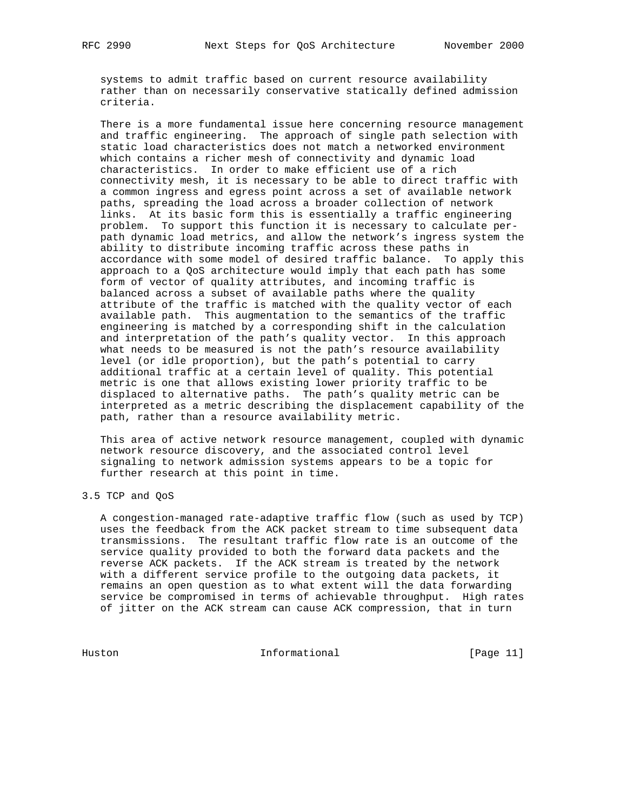systems to admit traffic based on current resource availability rather than on necessarily conservative statically defined admission criteria.

 There is a more fundamental issue here concerning resource management and traffic engineering. The approach of single path selection with static load characteristics does not match a networked environment which contains a richer mesh of connectivity and dynamic load characteristics. In order to make efficient use of a rich connectivity mesh, it is necessary to be able to direct traffic with a common ingress and egress point across a set of available network paths, spreading the load across a broader collection of network links. At its basic form this is essentially a traffic engineering problem. To support this function it is necessary to calculate per path dynamic load metrics, and allow the network's ingress system the ability to distribute incoming traffic across these paths in accordance with some model of desired traffic balance. To apply this approach to a QoS architecture would imply that each path has some form of vector of quality attributes, and incoming traffic is balanced across a subset of available paths where the quality attribute of the traffic is matched with the quality vector of each available path. This augmentation to the semantics of the traffic engineering is matched by a corresponding shift in the calculation and interpretation of the path's quality vector. In this approach what needs to be measured is not the path's resource availability level (or idle proportion), but the path's potential to carry additional traffic at a certain level of quality. This potential metric is one that allows existing lower priority traffic to be displaced to alternative paths. The path's quality metric can be interpreted as a metric describing the displacement capability of the path, rather than a resource availability metric.

 This area of active network resource management, coupled with dynamic network resource discovery, and the associated control level signaling to network admission systems appears to be a topic for further research at this point in time.

# 3.5 TCP and QoS

 A congestion-managed rate-adaptive traffic flow (such as used by TCP) uses the feedback from the ACK packet stream to time subsequent data transmissions. The resultant traffic flow rate is an outcome of the service quality provided to both the forward data packets and the reverse ACK packets. If the ACK stream is treated by the network with a different service profile to the outgoing data packets, it remains an open question as to what extent will the data forwarding service be compromised in terms of achievable throughput. High rates of jitter on the ACK stream can cause ACK compression, that in turn

Huston Informational [Page 11]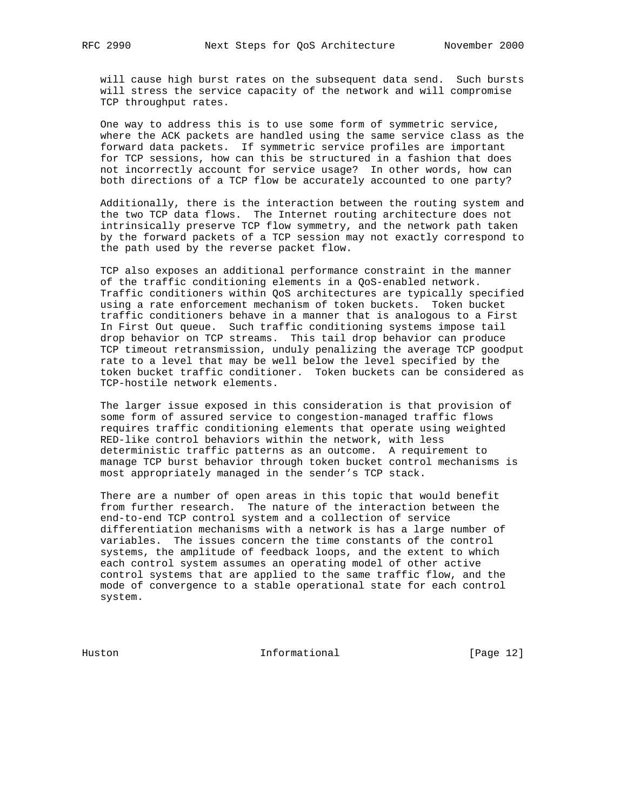will cause high burst rates on the subsequent data send. Such bursts will stress the service capacity of the network and will compromise TCP throughput rates.

 One way to address this is to use some form of symmetric service, where the ACK packets are handled using the same service class as the forward data packets. If symmetric service profiles are important for TCP sessions, how can this be structured in a fashion that does not incorrectly account for service usage? In other words, how can both directions of a TCP flow be accurately accounted to one party?

 Additionally, there is the interaction between the routing system and the two TCP data flows. The Internet routing architecture does not intrinsically preserve TCP flow symmetry, and the network path taken by the forward packets of a TCP session may not exactly correspond to the path used by the reverse packet flow.

 TCP also exposes an additional performance constraint in the manner of the traffic conditioning elements in a QoS-enabled network. Traffic conditioners within QoS architectures are typically specified using a rate enforcement mechanism of token buckets. Token bucket traffic conditioners behave in a manner that is analogous to a First In First Out queue. Such traffic conditioning systems impose tail drop behavior on TCP streams. This tail drop behavior can produce TCP timeout retransmission, unduly penalizing the average TCP goodput rate to a level that may be well below the level specified by the token bucket traffic conditioner. Token buckets can be considered as TCP-hostile network elements.

 The larger issue exposed in this consideration is that provision of some form of assured service to congestion-managed traffic flows requires traffic conditioning elements that operate using weighted RED-like control behaviors within the network, with less deterministic traffic patterns as an outcome. A requirement to manage TCP burst behavior through token bucket control mechanisms is most appropriately managed in the sender's TCP stack.

 There are a number of open areas in this topic that would benefit from further research. The nature of the interaction between the end-to-end TCP control system and a collection of service differentiation mechanisms with a network is has a large number of variables. The issues concern the time constants of the control systems, the amplitude of feedback loops, and the extent to which each control system assumes an operating model of other active control systems that are applied to the same traffic flow, and the mode of convergence to a stable operational state for each control system.

Huston Informational [Page 12]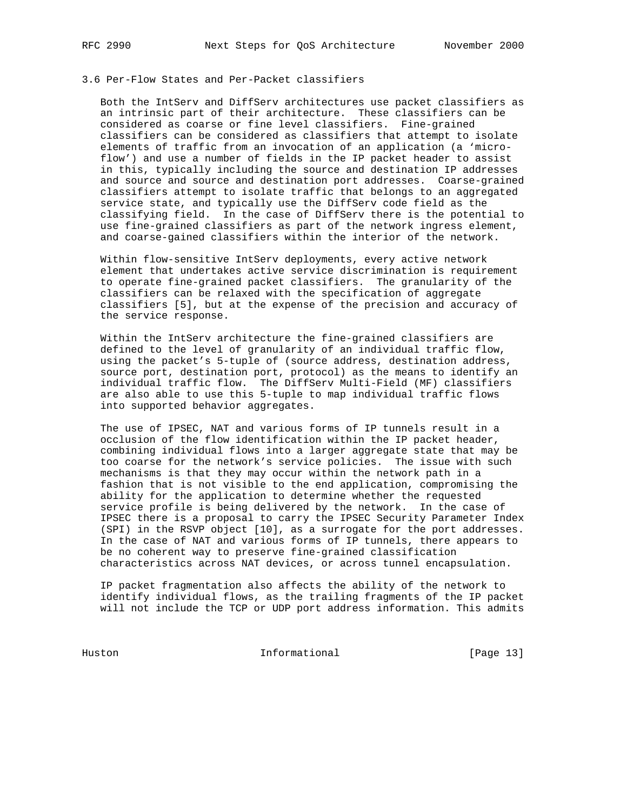## 3.6 Per-Flow States and Per-Packet classifiers

 Both the IntServ and DiffServ architectures use packet classifiers as an intrinsic part of their architecture. These classifiers can be considered as coarse or fine level classifiers. Fine-grained classifiers can be considered as classifiers that attempt to isolate elements of traffic from an invocation of an application (a 'micro flow') and use a number of fields in the IP packet header to assist in this, typically including the source and destination IP addresses and source and source and destination port addresses. Coarse-grained classifiers attempt to isolate traffic that belongs to an aggregated service state, and typically use the DiffServ code field as the classifying field. In the case of DiffServ there is the potential to use fine-grained classifiers as part of the network ingress element, and coarse-gained classifiers within the interior of the network.

 Within flow-sensitive IntServ deployments, every active network element that undertakes active service discrimination is requirement to operate fine-grained packet classifiers. The granularity of the classifiers can be relaxed with the specification of aggregate classifiers [5], but at the expense of the precision and accuracy of the service response.

 Within the IntServ architecture the fine-grained classifiers are defined to the level of granularity of an individual traffic flow, using the packet's 5-tuple of (source address, destination address, source port, destination port, protocol) as the means to identify an individual traffic flow. The DiffServ Multi-Field (MF) classifiers are also able to use this 5-tuple to map individual traffic flows into supported behavior aggregates.

 The use of IPSEC, NAT and various forms of IP tunnels result in a occlusion of the flow identification within the IP packet header, combining individual flows into a larger aggregate state that may be too coarse for the network's service policies. The issue with such mechanisms is that they may occur within the network path in a fashion that is not visible to the end application, compromising the ability for the application to determine whether the requested service profile is being delivered by the network. In the case of IPSEC there is a proposal to carry the IPSEC Security Parameter Index (SPI) in the RSVP object [10], as a surrogate for the port addresses. In the case of NAT and various forms of IP tunnels, there appears to be no coherent way to preserve fine-grained classification characteristics across NAT devices, or across tunnel encapsulation.

 IP packet fragmentation also affects the ability of the network to identify individual flows, as the trailing fragments of the IP packet will not include the TCP or UDP port address information. This admits

Huston Informational [Page 13]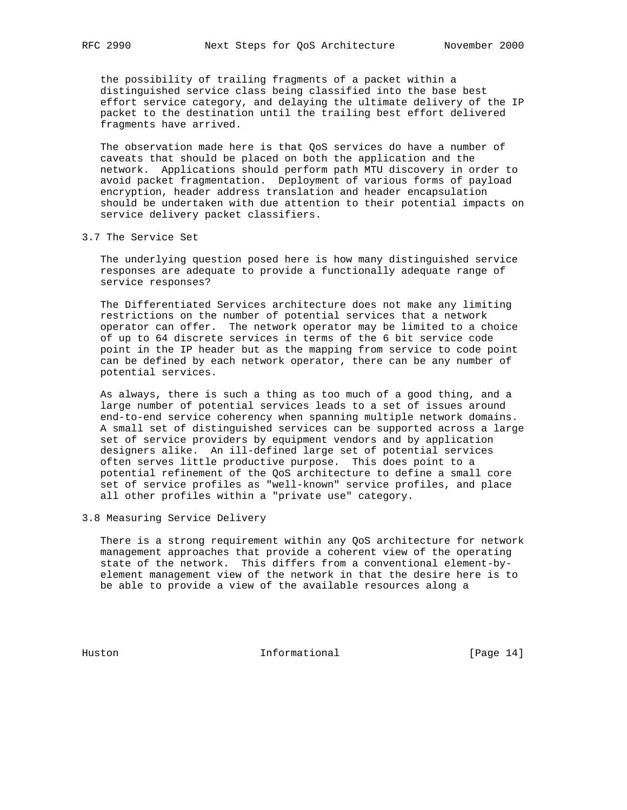the possibility of trailing fragments of a packet within a distinguished service class being classified into the base best effort service category, and delaying the ultimate delivery of the IP packet to the destination until the trailing best effort delivered fragments have arrived.

 The observation made here is that QoS services do have a number of caveats that should be placed on both the application and the network. Applications should perform path MTU discovery in order to avoid packet fragmentation. Deployment of various forms of payload encryption, header address translation and header encapsulation should be undertaken with due attention to their potential impacts on service delivery packet classifiers.

3.7 The Service Set

 The underlying question posed here is how many distinguished service responses are adequate to provide a functionally adequate range of service responses?

 The Differentiated Services architecture does not make any limiting restrictions on the number of potential services that a network operator can offer. The network operator may be limited to a choice of up to 64 discrete services in terms of the 6 bit service code point in the IP header but as the mapping from service to code point can be defined by each network operator, there can be any number of potential services.

 As always, there is such a thing as too much of a good thing, and a large number of potential services leads to a set of issues around end-to-end service coherency when spanning multiple network domains. A small set of distinguished services can be supported across a large set of service providers by equipment vendors and by application designers alike. An ill-defined large set of potential services often serves little productive purpose. This does point to a potential refinement of the QoS architecture to define a small core set of service profiles as "well-known" service profiles, and place all other profiles within a "private use" category.

3.8 Measuring Service Delivery

 There is a strong requirement within any QoS architecture for network management approaches that provide a coherent view of the operating state of the network. This differs from a conventional element-by element management view of the network in that the desire here is to be able to provide a view of the available resources along a

Huston **Informational Informational** [Page 14]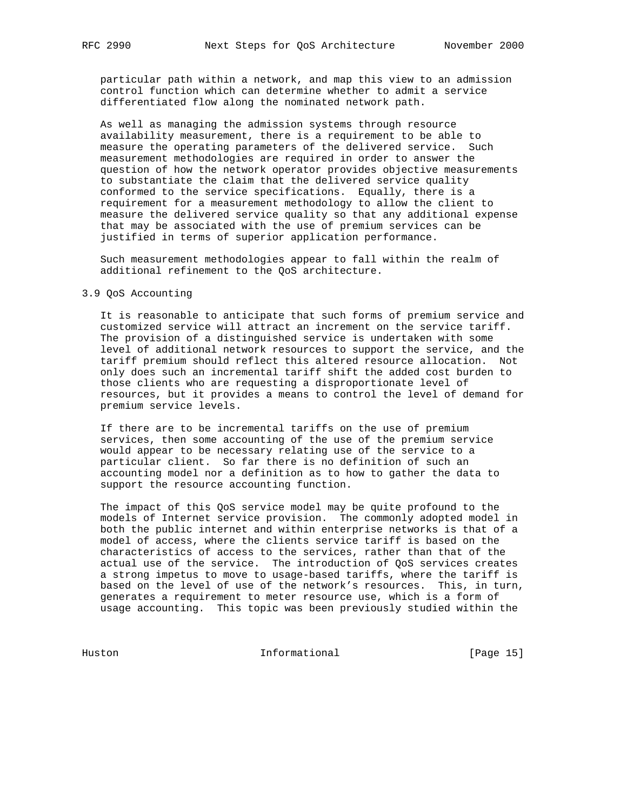particular path within a network, and map this view to an admission control function which can determine whether to admit a service differentiated flow along the nominated network path.

 As well as managing the admission systems through resource availability measurement, there is a requirement to be able to measure the operating parameters of the delivered service. Such measurement methodologies are required in order to answer the question of how the network operator provides objective measurements to substantiate the claim that the delivered service quality conformed to the service specifications. Equally, there is a requirement for a measurement methodology to allow the client to measure the delivered service quality so that any additional expense that may be associated with the use of premium services can be justified in terms of superior application performance.

 Such measurement methodologies appear to fall within the realm of additional refinement to the QoS architecture.

# 3.9 QoS Accounting

 It is reasonable to anticipate that such forms of premium service and customized service will attract an increment on the service tariff. The provision of a distinguished service is undertaken with some level of additional network resources to support the service, and the tariff premium should reflect this altered resource allocation. Not only does such an incremental tariff shift the added cost burden to those clients who are requesting a disproportionate level of resources, but it provides a means to control the level of demand for premium service levels.

 If there are to be incremental tariffs on the use of premium services, then some accounting of the use of the premium service would appear to be necessary relating use of the service to a particular client. So far there is no definition of such an accounting model nor a definition as to how to gather the data to support the resource accounting function.

 The impact of this QoS service model may be quite profound to the models of Internet service provision. The commonly adopted model in both the public internet and within enterprise networks is that of a model of access, where the clients service tariff is based on the characteristics of access to the services, rather than that of the actual use of the service. The introduction of QoS services creates a strong impetus to move to usage-based tariffs, where the tariff is based on the level of use of the network's resources. This, in turn, generates a requirement to meter resource use, which is a form of usage accounting. This topic was been previously studied within the

Huston Informational [Page 15]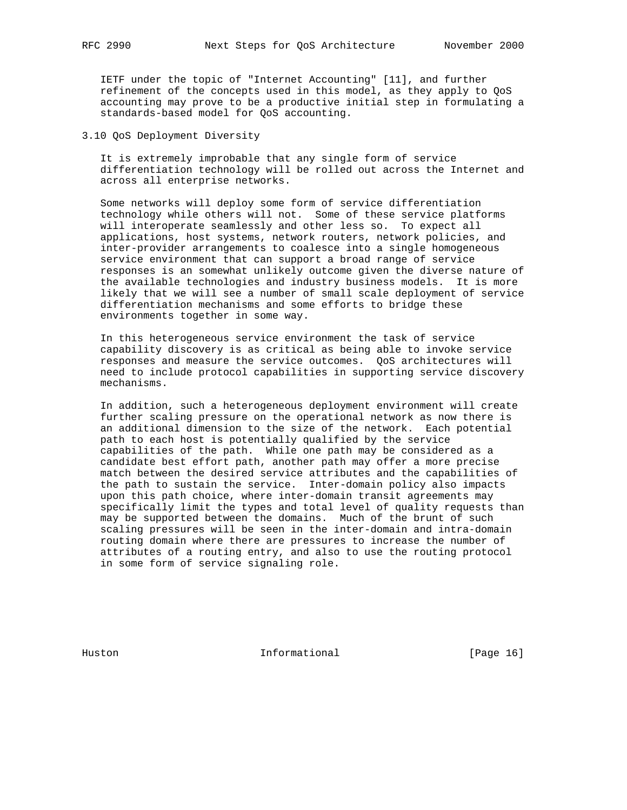IETF under the topic of "Internet Accounting" [11], and further refinement of the concepts used in this model, as they apply to QoS accounting may prove to be a productive initial step in formulating a standards-based model for QoS accounting.

3.10 QoS Deployment Diversity

 It is extremely improbable that any single form of service differentiation technology will be rolled out across the Internet and across all enterprise networks.

 Some networks will deploy some form of service differentiation technology while others will not. Some of these service platforms will interoperate seamlessly and other less so. To expect all applications, host systems, network routers, network policies, and inter-provider arrangements to coalesce into a single homogeneous service environment that can support a broad range of service responses is an somewhat unlikely outcome given the diverse nature of the available technologies and industry business models. It is more likely that we will see a number of small scale deployment of service differentiation mechanisms and some efforts to bridge these environments together in some way.

 In this heterogeneous service environment the task of service capability discovery is as critical as being able to invoke service responses and measure the service outcomes. QoS architectures will need to include protocol capabilities in supporting service discovery mechanisms.

 In addition, such a heterogeneous deployment environment will create further scaling pressure on the operational network as now there is an additional dimension to the size of the network. Each potential path to each host is potentially qualified by the service capabilities of the path. While one path may be considered as a candidate best effort path, another path may offer a more precise match between the desired service attributes and the capabilities of the path to sustain the service. Inter-domain policy also impacts upon this path choice, where inter-domain transit agreements may specifically limit the types and total level of quality requests than may be supported between the domains. Much of the brunt of such scaling pressures will be seen in the inter-domain and intra-domain routing domain where there are pressures to increase the number of attributes of a routing entry, and also to use the routing protocol in some form of service signaling role.

Huston **Informational Informational** [Page 16]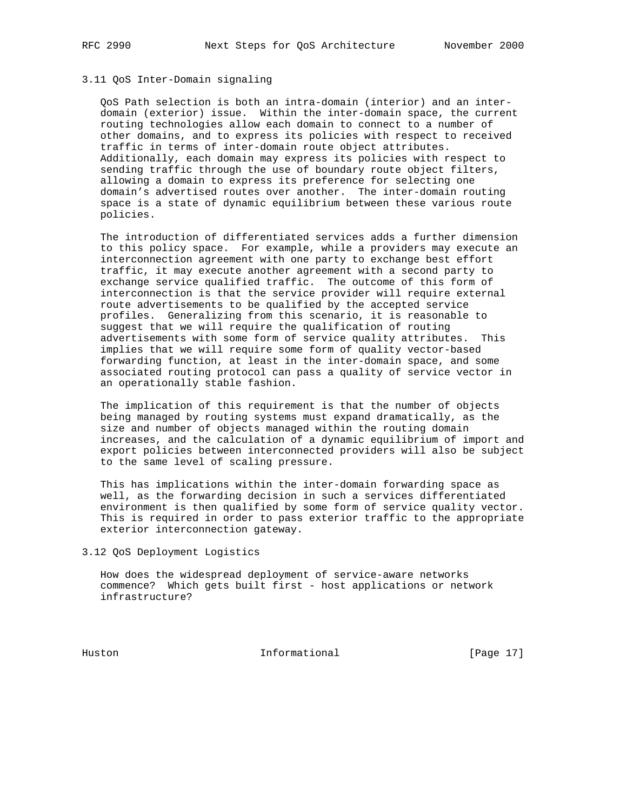## 3.11 QoS Inter-Domain signaling

 QoS Path selection is both an intra-domain (interior) and an inter domain (exterior) issue. Within the inter-domain space, the current routing technologies allow each domain to connect to a number of other domains, and to express its policies with respect to received traffic in terms of inter-domain route object attributes. Additionally, each domain may express its policies with respect to sending traffic through the use of boundary route object filters, allowing a domain to express its preference for selecting one domain's advertised routes over another. The inter-domain routing space is a state of dynamic equilibrium between these various route policies.

 The introduction of differentiated services adds a further dimension to this policy space. For example, while a providers may execute an interconnection agreement with one party to exchange best effort traffic, it may execute another agreement with a second party to exchange service qualified traffic. The outcome of this form of interconnection is that the service provider will require external route advertisements to be qualified by the accepted service profiles. Generalizing from this scenario, it is reasonable to suggest that we will require the qualification of routing advertisements with some form of service quality attributes. This implies that we will require some form of quality vector-based forwarding function, at least in the inter-domain space, and some associated routing protocol can pass a quality of service vector in an operationally stable fashion.

 The implication of this requirement is that the number of objects being managed by routing systems must expand dramatically, as the size and number of objects managed within the routing domain increases, and the calculation of a dynamic equilibrium of import and export policies between interconnected providers will also be subject to the same level of scaling pressure.

 This has implications within the inter-domain forwarding space as well, as the forwarding decision in such a services differentiated environment is then qualified by some form of service quality vector. This is required in order to pass exterior traffic to the appropriate exterior interconnection gateway.

3.12 QoS Deployment Logistics

 How does the widespread deployment of service-aware networks commence? Which gets built first - host applications or network infrastructure?

Huston **Informational Informational** [Page 17]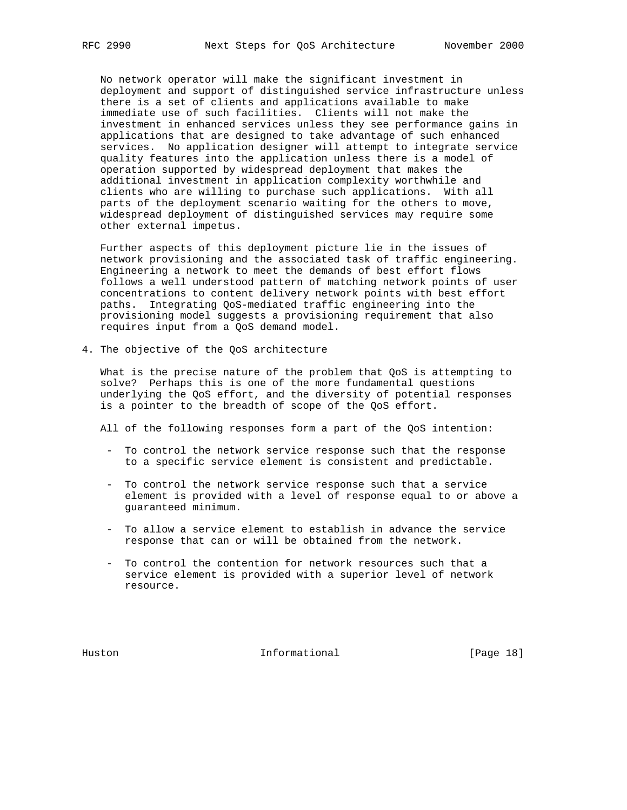No network operator will make the significant investment in deployment and support of distinguished service infrastructure unless there is a set of clients and applications available to make immediate use of such facilities. Clients will not make the investment in enhanced services unless they see performance gains in applications that are designed to take advantage of such enhanced services. No application designer will attempt to integrate service quality features into the application unless there is a model of operation supported by widespread deployment that makes the additional investment in application complexity worthwhile and clients who are willing to purchase such applications. With all parts of the deployment scenario waiting for the others to move, widespread deployment of distinguished services may require some other external impetus.

 Further aspects of this deployment picture lie in the issues of network provisioning and the associated task of traffic engineering. Engineering a network to meet the demands of best effort flows follows a well understood pattern of matching network points of user concentrations to content delivery network points with best effort paths. Integrating QoS-mediated traffic engineering into the provisioning model suggests a provisioning requirement that also requires input from a QoS demand model.

4. The objective of the QoS architecture

 What is the precise nature of the problem that QoS is attempting to solve? Perhaps this is one of the more fundamental questions underlying the QoS effort, and the diversity of potential responses is a pointer to the breadth of scope of the QoS effort.

All of the following responses form a part of the QoS intention:

- To control the network service response such that the response to a specific service element is consistent and predictable.
- To control the network service response such that a service element is provided with a level of response equal to or above a guaranteed minimum.
- To allow a service element to establish in advance the service response that can or will be obtained from the network.
- To control the contention for network resources such that a service element is provided with a superior level of network resource.

Huston **Informational Informational** [Page 18]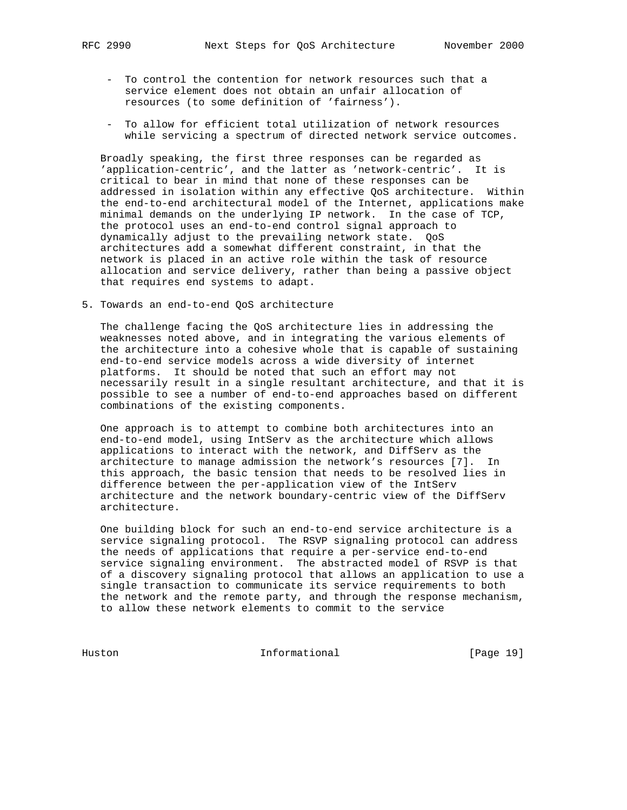- - To control the contention for network resources such that a service element does not obtain an unfair allocation of resources (to some definition of 'fairness').
	- To allow for efficient total utilization of network resources while servicing a spectrum of directed network service outcomes.

 Broadly speaking, the first three responses can be regarded as 'application-centric', and the latter as 'network-centric'. It is critical to bear in mind that none of these responses can be addressed in isolation within any effective QoS architecture. Within the end-to-end architectural model of the Internet, applications make minimal demands on the underlying IP network. In the case of TCP, the protocol uses an end-to-end control signal approach to dynamically adjust to the prevailing network state. QoS architectures add a somewhat different constraint, in that the network is placed in an active role within the task of resource allocation and service delivery, rather than being a passive object that requires end systems to adapt.

5. Towards an end-to-end QoS architecture

 The challenge facing the QoS architecture lies in addressing the weaknesses noted above, and in integrating the various elements of the architecture into a cohesive whole that is capable of sustaining end-to-end service models across a wide diversity of internet platforms. It should be noted that such an effort may not necessarily result in a single resultant architecture, and that it is possible to see a number of end-to-end approaches based on different combinations of the existing components.

 One approach is to attempt to combine both architectures into an end-to-end model, using IntServ as the architecture which allows applications to interact with the network, and DiffServ as the architecture to manage admission the network's resources [7]. In this approach, the basic tension that needs to be resolved lies in difference between the per-application view of the IntServ architecture and the network boundary-centric view of the DiffServ architecture.

 One building block for such an end-to-end service architecture is a service signaling protocol. The RSVP signaling protocol can address the needs of applications that require a per-service end-to-end service signaling environment. The abstracted model of RSVP is that of a discovery signaling protocol that allows an application to use a single transaction to communicate its service requirements to both the network and the remote party, and through the response mechanism, to allow these network elements to commit to the service

Huston Informational [Page 19]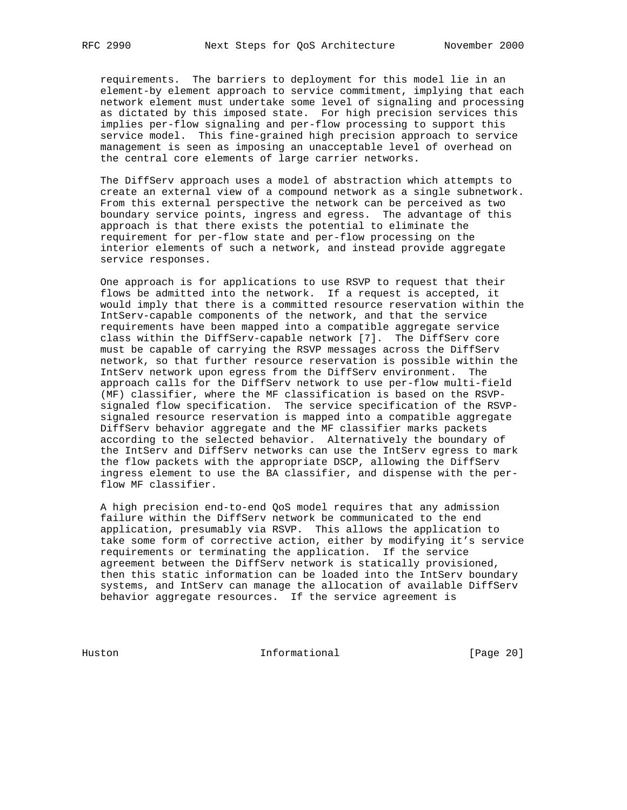requirements. The barriers to deployment for this model lie in an element-by element approach to service commitment, implying that each network element must undertake some level of signaling and processing as dictated by this imposed state. For high precision services this implies per-flow signaling and per-flow processing to support this service model. This fine-grained high precision approach to service management is seen as imposing an unacceptable level of overhead on the central core elements of large carrier networks.

 The DiffServ approach uses a model of abstraction which attempts to create an external view of a compound network as a single subnetwork. From this external perspective the network can be perceived as two boundary service points, ingress and egress. The advantage of this approach is that there exists the potential to eliminate the requirement for per-flow state and per-flow processing on the interior elements of such a network, and instead provide aggregate service responses.

 One approach is for applications to use RSVP to request that their flows be admitted into the network. If a request is accepted, it would imply that there is a committed resource reservation within the IntServ-capable components of the network, and that the service requirements have been mapped into a compatible aggregate service class within the DiffServ-capable network [7]. The DiffServ core must be capable of carrying the RSVP messages across the DiffServ network, so that further resource reservation is possible within the IntServ network upon egress from the DiffServ environment. The approach calls for the DiffServ network to use per-flow multi-field (MF) classifier, where the MF classification is based on the RSVP signaled flow specification. The service specification of the RSVP signaled resource reservation is mapped into a compatible aggregate DiffServ behavior aggregate and the MF classifier marks packets according to the selected behavior. Alternatively the boundary of the IntServ and DiffServ networks can use the IntServ egress to mark the flow packets with the appropriate DSCP, allowing the DiffServ ingress element to use the BA classifier, and dispense with the per flow MF classifier.

 A high precision end-to-end QoS model requires that any admission failure within the DiffServ network be communicated to the end application, presumably via RSVP. This allows the application to take some form of corrective action, either by modifying it's service requirements or terminating the application. If the service agreement between the DiffServ network is statically provisioned, then this static information can be loaded into the IntServ boundary systems, and IntServ can manage the allocation of available DiffServ behavior aggregate resources. If the service agreement is

Huston Informational [Page 20]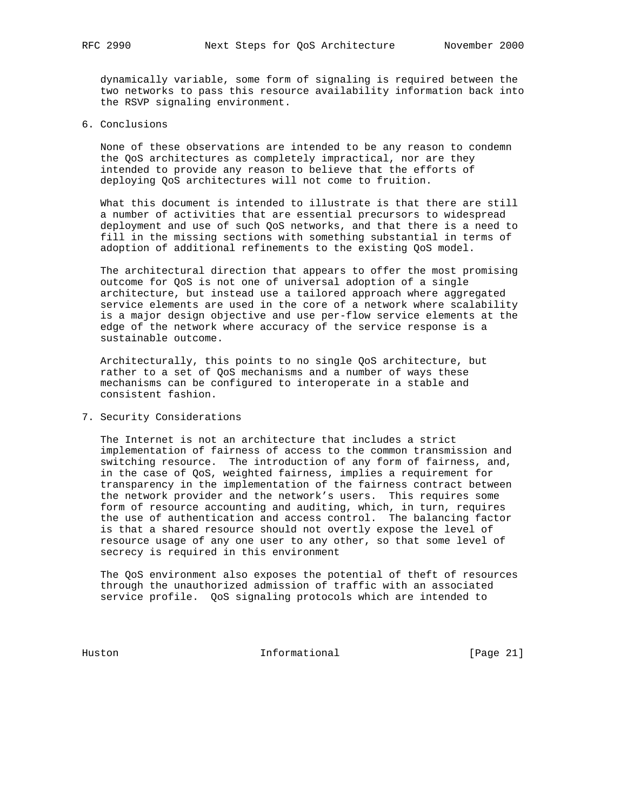dynamically variable, some form of signaling is required between the two networks to pass this resource availability information back into the RSVP signaling environment.

# 6. Conclusions

 None of these observations are intended to be any reason to condemn the QoS architectures as completely impractical, nor are they intended to provide any reason to believe that the efforts of deploying QoS architectures will not come to fruition.

 What this document is intended to illustrate is that there are still a number of activities that are essential precursors to widespread deployment and use of such QoS networks, and that there is a need to fill in the missing sections with something substantial in terms of adoption of additional refinements to the existing QoS model.

 The architectural direction that appears to offer the most promising outcome for QoS is not one of universal adoption of a single architecture, but instead use a tailored approach where aggregated service elements are used in the core of a network where scalability is a major design objective and use per-flow service elements at the edge of the network where accuracy of the service response is a sustainable outcome.

 Architecturally, this points to no single QoS architecture, but rather to a set of QoS mechanisms and a number of ways these mechanisms can be configured to interoperate in a stable and consistent fashion.

# 7. Security Considerations

 The Internet is not an architecture that includes a strict implementation of fairness of access to the common transmission and switching resource. The introduction of any form of fairness, and, in the case of QoS, weighted fairness, implies a requirement for transparency in the implementation of the fairness contract between the network provider and the network's users. This requires some form of resource accounting and auditing, which, in turn, requires the use of authentication and access control. The balancing factor is that a shared resource should not overtly expose the level of resource usage of any one user to any other, so that some level of secrecy is required in this environment

 The QoS environment also exposes the potential of theft of resources through the unauthorized admission of traffic with an associated service profile. QoS signaling protocols which are intended to

Huston Informational [Page 21]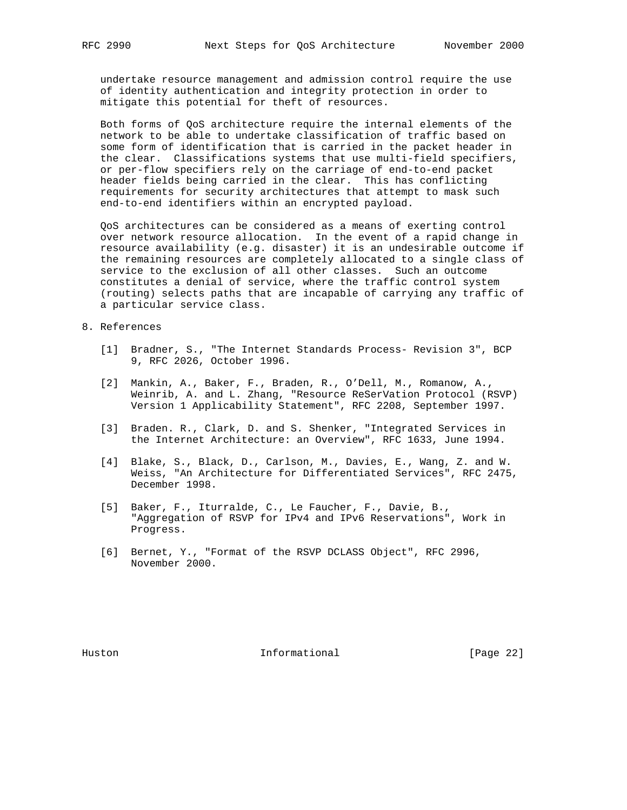undertake resource management and admission control require the use of identity authentication and integrity protection in order to mitigate this potential for theft of resources.

 Both forms of QoS architecture require the internal elements of the network to be able to undertake classification of traffic based on some form of identification that is carried in the packet header in the clear. Classifications systems that use multi-field specifiers, or per-flow specifiers rely on the carriage of end-to-end packet header fields being carried in the clear. This has conflicting requirements for security architectures that attempt to mask such end-to-end identifiers within an encrypted payload.

 QoS architectures can be considered as a means of exerting control over network resource allocation. In the event of a rapid change in resource availability (e.g. disaster) it is an undesirable outcome if the remaining resources are completely allocated to a single class of service to the exclusion of all other classes. Such an outcome constitutes a denial of service, where the traffic control system (routing) selects paths that are incapable of carrying any traffic of a particular service class.

- 8. References
	- [1] Bradner, S., "The Internet Standards Process- Revision 3", BCP 9, RFC 2026, October 1996.
	- [2] Mankin, A., Baker, F., Braden, R., O'Dell, M., Romanow, A., Weinrib, A. and L. Zhang, "Resource ReSerVation Protocol (RSVP) Version 1 Applicability Statement", RFC 2208, September 1997.
	- [3] Braden. R., Clark, D. and S. Shenker, "Integrated Services in the Internet Architecture: an Overview", RFC 1633, June 1994.
	- [4] Blake, S., Black, D., Carlson, M., Davies, E., Wang, Z. and W. Weiss, "An Architecture for Differentiated Services", RFC 2475, December 1998.
	- [5] Baker, F., Iturralde, C., Le Faucher, F., Davie, B., "Aggregation of RSVP for IPv4 and IPv6 Reservations", Work in Progress.
	- [6] Bernet, Y., "Format of the RSVP DCLASS Object", RFC 2996, November 2000.

Huston **Informational Informational** [Page 22]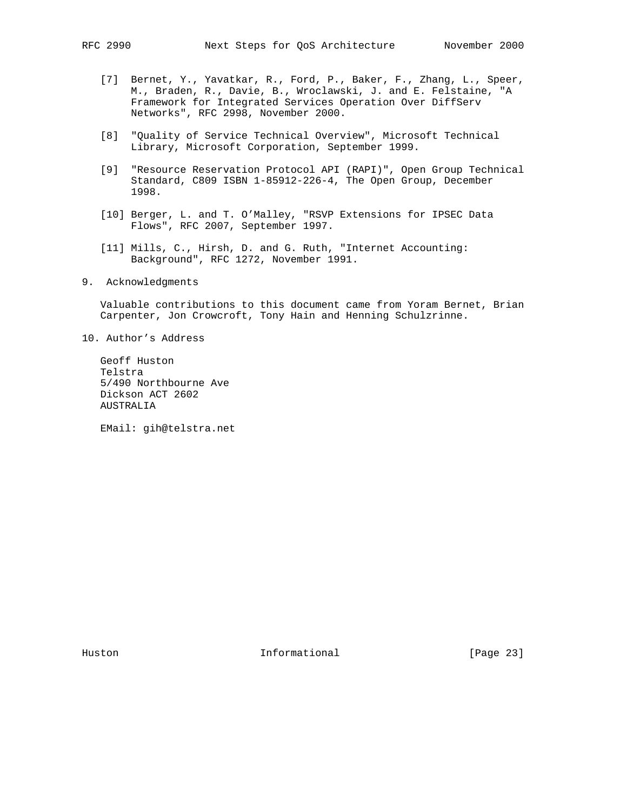- [7] Bernet, Y., Yavatkar, R., Ford, P., Baker, F., Zhang, L., Speer, M., Braden, R., Davie, B., Wroclawski, J. and E. Felstaine, "A Framework for Integrated Services Operation Over DiffServ Networks", RFC 2998, November 2000.
- [8] "Quality of Service Technical Overview", Microsoft Technical Library, Microsoft Corporation, September 1999.
- [9] "Resource Reservation Protocol API (RAPI)", Open Group Technical Standard, C809 ISBN 1-85912-226-4, The Open Group, December 1998.
- [10] Berger, L. and T. O'Malley, "RSVP Extensions for IPSEC Data Flows", RFC 2007, September 1997.
- [11] Mills, C., Hirsh, D. and G. Ruth, "Internet Accounting: Background", RFC 1272, November 1991.
- 9. Acknowledgments

 Valuable contributions to this document came from Yoram Bernet, Brian Carpenter, Jon Crowcroft, Tony Hain and Henning Schulzrinne.

10. Author's Address

 Geoff Huston Telstra 5/490 Northbourne Ave Dickson ACT 2602 AUSTRALIA

EMail: gih@telstra.net

Huston **Informational Informational** [Page 23]